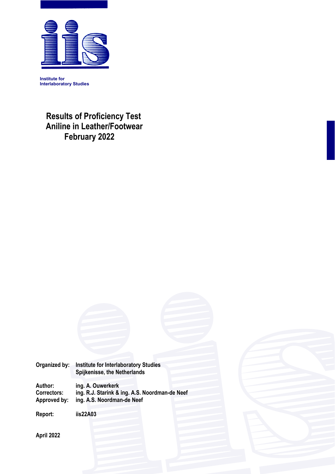

**Institute for Interlaboratory Studies** 

> **Results of Proficiency Test Aniline in Leather/Footwear February 2022**



**April 2022**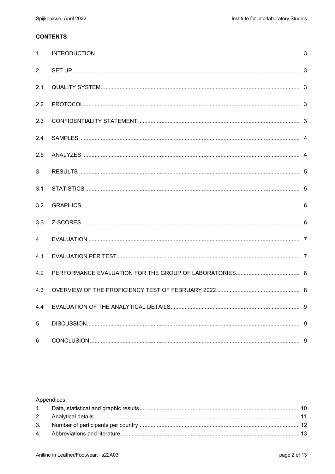### **CONTENTS**

| $\mathbf{1}$   |  |
|----------------|--|
| 2              |  |
| 2.1            |  |
| 2.2            |  |
| 2.3            |  |
| 2.4            |  |
| 2.5            |  |
| 3              |  |
| 3.1            |  |
| 3.2            |  |
| 3.3            |  |
| $\overline{4}$ |  |
| 4.1            |  |
| 4.2            |  |
| 4.3            |  |
| 4.4            |  |
| 5              |  |
| 6              |  |

# Appendices: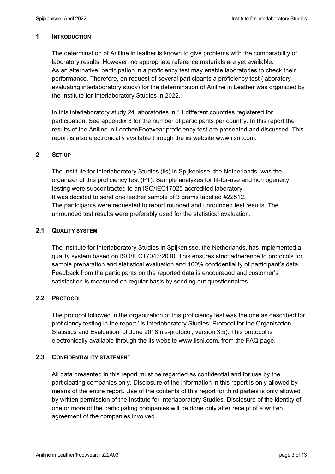### **1 INTRODUCTION**

The determination of Aniline in leather is known to give problems with the comparability of laboratory results. However, no appropriate reference materials are yet available. As an alternative, participation in a proficiency test may enable laboratories to check their performance. Therefore, on request of several participants a proficiency test (laboratoryevaluating interlaboratory study) for the determination of Aniline in Leather was organized by the Institute for Interlaboratory Studies in 2022.

In this interlaboratory study 24 laboratories in 14 different countries registered for participation. See appendix 3 for the number of participants per country. In this report the results of the Aniline in Leather/Footwear proficiency test are presented and discussed. This report is also electronically available through the iis website www.iisnl.com.

### **2 SET UP**

The Institute for Interlaboratory Studies (iis) in Spijkenisse, the Netherlands, was the organizer of this proficiency test (PT). Sample analyzes for fit-for-use and homogeneity testing were subcontracted to an ISO/IEC17025 accredited laboratory. It was decided to send one leather sample of 3 grams labelled #22512. The participants were requested to report rounded and unrounded test results. The unrounded test results were preferably used for the statistical evaluation.

### **2.1 QUALITY SYSTEM**

The Institute for Interlaboratory Studies in Spijkenisse, the Netherlands, has implemented a quality system based on ISO/IEC17043:2010. This ensures strict adherence to protocols for sample preparation and statistical evaluation and 100% confidentiality of participant's data. Feedback from the participants on the reported data is encouraged and customer's satisfaction is measured on regular basis by sending out questionnaires.

# **2.2 PROTOCOL**

The protocol followed in the organization of this proficiency test was the one as described for proficiency testing in the report 'iis Interlaboratory Studies: Protocol for the Organisation, Statistics and Evaluation' of June 2018 (iis-protocol, version 3.5). This protocol is electronically available through the iis website www.iisnl.com, from the FAQ page.

### **2.3 CONFIDENTIALITY STATEMENT**

All data presented in this report must be regarded as confidential and for use by the participating companies only. Disclosure of the information in this report is only allowed by means of the entire report. Use of the contents of this report for third parties is only allowed by written permission of the Institute for Interlaboratory Studies. Disclosure of the identity of one or more of the participating companies will be done only after receipt of a written agreement of the companies involved.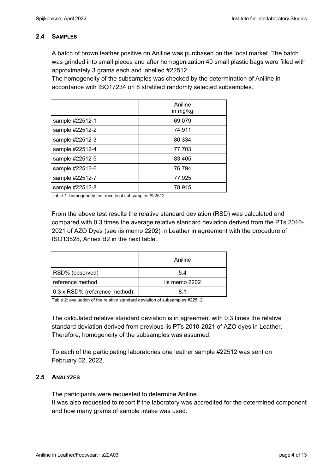### **2.4 SAMPLES**

A batch of brown leather positive on Aniline was purchased on the local market. The batch was grinded into small pieces and after homogenization 40 small plastic bags were filled with approximately 3 grams each and labelled #22512.

The homogeneity of the subsamples was checked by the determination of Aniline in accordance with ISO17234 on 8 stratified randomly selected subsamples.

|                 | Aniline<br>in mg/kg |
|-----------------|---------------------|
| sample #22512-1 | 69.079              |
| sample #22512-2 | 74.911              |
| sample #22512-3 | 80.334              |
| sample #22512-4 | 77.703              |
| sample #22512-5 | 83.405              |
| sample #22512-6 | 76.794              |
| sample #22512-7 | 77.925              |
| sample #22512-8 | 78.915              |

Table 1: homogeneity test results of subsamples #22512

From the above test results the relative standard deviation (RSD) was calculated and compared with 0.3 times the average relative standard deviation derived from the PTs 2010- 2021 of AZO Dyes (see iis memo 2202) in Leather in agreement with the procedure of ISO13528, Annex B2 in the next table.

|                               | Aniline       |
|-------------------------------|---------------|
| RSD% (observed)               | 5.4           |
| reference method              | iis memo 2202 |
| 0.3 x RSD% (reference method) | 81            |

Table 2: evaluation of the relative standard deviation of subsamples #22512

The calculated relative standard deviation is in agreement with 0.3 times the relative standard deviation derived from previous iis PTs 2010-2021 of AZO dyes in Leather. Therefore, homogeneity of the subsamples was assumed.

To each of the participating laboratories one leather sample #22512 was sent on February 02, 2022.

# **2.5 ANALYZES**

The participants were requested to determine Aniline.

It was also requested to report if the laboratory was accredited for the determined component and how many grams of sample intake was used.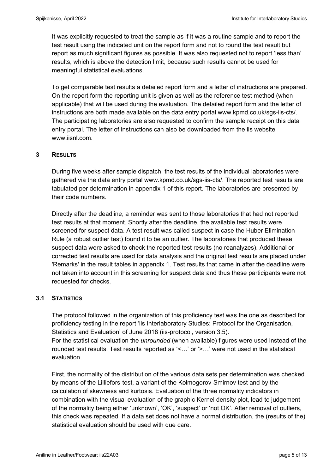It was explicitly requested to treat the sample as if it was a routine sample and to report the test result using the indicated unit on the report form and not to round the test result but report as much significant figures as possible. It was also requested not to report 'less than' results, which is above the detection limit, because such results cannot be used for meaningful statistical evaluations.

To get comparable test results a detailed report form and a letter of instructions are prepared. On the report form the reporting unit is given as well as the reference test method (when applicable) that will be used during the evaluation. The detailed report form and the letter of instructions are both made available on the data entry portal www.kpmd.co.uk/sgs-iis-cts/. The participating laboratories are also requested to confirm the sample receipt on this data entry portal. The letter of instructions can also be downloaded from the iis website www.iisnl.com.

### **3 RESULTS**

During five weeks after sample dispatch, the test results of the individual laboratories were gathered via the data entry portal www.kpmd.co.uk/sgs-iis-cts/. The reported test results are tabulated per determination in appendix 1 of this report. The laboratories are presented by their code numbers.

Directly after the deadline, a reminder was sent to those laboratories that had not reported test results at that moment. Shortly after the deadline, the available test results were screened for suspect data. A test result was called suspect in case the Huber Elimination Rule (a robust outlier test) found it to be an outlier. The laboratories that produced these suspect data were asked to check the reported test results (no reanalyzes). Additional or corrected test results are used for data analysis and the original test results are placed under 'Remarks' in the result tables in appendix 1. Test results that came in after the deadline were not taken into account in this screening for suspect data and thus these participants were not requested for checks.

### **3.1 STATISTICS**

The protocol followed in the organization of this proficiency test was the one as described for proficiency testing in the report 'iis Interlaboratory Studies: Protocol for the Organisation, Statistics and Evaluation' of June 2018 (iis-protocol, version 3.5).

For the statistical evaluation the *unrounded* (when available) figures were used instead of the rounded test results. Test results reported as '<…' or '>…' were not used in the statistical evaluation.

First, the normality of the distribution of the various data sets per determination was checked by means of the Lilliefors-test, a variant of the Kolmogorov-Smirnov test and by the calculation of skewness and kurtosis. Evaluation of the three normality indicators in combination with the visual evaluation of the graphic Kernel density plot, lead to judgement of the normality being either 'unknown', 'OK', 'suspect' or 'not OK'. After removal of outliers, this check was repeated. If a data set does not have a normal distribution, the (results of the) statistical evaluation should be used with due care.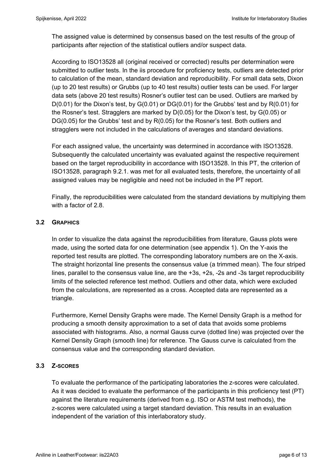The assigned value is determined by consensus based on the test results of the group of participants after rejection of the statistical outliers and/or suspect data.

According to ISO13528 all (original received or corrected) results per determination were submitted to outlier tests. In the iis procedure for proficiency tests, outliers are detected prior to calculation of the mean, standard deviation and reproducibility. For small data sets, Dixon (up to 20 test results) or Grubbs (up to 40 test results) outlier tests can be used. For larger data sets (above 20 test results) Rosner's outlier test can be used. Outliers are marked by  $D(0.01)$  for the Dixon's test, by  $G(0.01)$  or  $DG(0.01)$  for the Grubbs' test and by  $R(0.01)$  for the Rosner's test. Stragglers are marked by D(0.05) for the Dixon's test, by G(0.05) or DG(0.05) for the Grubbs' test and by R(0.05) for the Rosner's test. Both outliers and stragglers were not included in the calculations of averages and standard deviations.

For each assigned value, the uncertainty was determined in accordance with ISO13528. Subsequently the calculated uncertainty was evaluated against the respective requirement based on the target reproducibility in accordance with ISO13528. In this PT, the criterion of ISO13528, paragraph 9.2.1. was met for all evaluated tests, therefore, the uncertainty of all assigned values may be negligible and need not be included in the PT report.

Finally, the reproducibilities were calculated from the standard deviations by multiplying them with a factor of 2.8.

### **3.2 GRAPHICS**

In order to visualize the data against the reproducibilities from literature, Gauss plots were made, using the sorted data for one determination (see appendix 1). On the Y-axis the reported test results are plotted. The corresponding laboratory numbers are on the X-axis. The straight horizontal line presents the consensus value (a trimmed mean). The four striped lines, parallel to the consensus value line, are the +3s, +2s, -2s and -3s target reproducibility limits of the selected reference test method. Outliers and other data, which were excluded from the calculations, are represented as a cross. Accepted data are represented as a triangle.

Furthermore, Kernel Density Graphs were made. The Kernel Density Graph is a method for producing a smooth density approximation to a set of data that avoids some problems associated with histograms. Also, a normal Gauss curve (dotted line) was projected over the Kernel Density Graph (smooth line) for reference. The Gauss curve is calculated from the consensus value and the corresponding standard deviation.

### **3.3 Z-SCORES**

To evaluate the performance of the participating laboratories the z-scores were calculated. As it was decided to evaluate the performance of the participants in this proficiency test (PT) against the literature requirements (derived from e.g. ISO or ASTM test methods), the z-scores were calculated using a target standard deviation. This results in an evaluation independent of the variation of this interlaboratory study.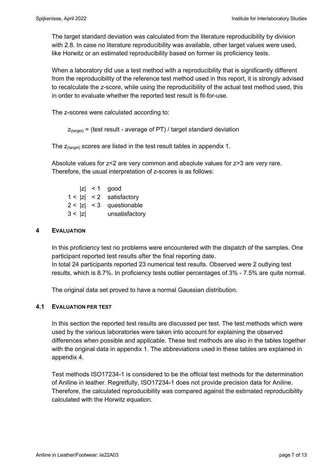The target standard deviation was calculated from the literature reproducibility by division with 2.8. In case no literature reproducibility was available, other target values were used, like Horwitz or an estimated reproducibility based on former iis proficiency tests.

When a laboratory did use a test method with a reproducibility that is significantly different from the reproducibility of the reference test method used in this report, it is strongly advised to recalculate the z-score, while using the reproducibility of the actual test method used, this in order to evaluate whether the reported test result is fit-for-use.

The z-scores were calculated according to:

```
Z_{\text{target}} = (test result - average of PT) / target standard deviation
```
The  $z_{\text{(target)}}$  scores are listed in the test result tables in appendix 1.

Absolute values for z<2 are very common and absolute values for z>3 are very rare. Therefore, the usual interpretation of z-scores is as follows:

 $|z|$  < 1 good  $1 < |z| < 2$  satisfactory  $2 < |z| < 3$  questionable 3 < |z| unsatisfactory

#### **4 EVALUATION**

In this proficiency test no problems were encountered with the dispatch of the samples. One participant reported test results after the final reporting date. In total 24 participants reported 23 numerical test results. Observed were 2 outlying test results, which is 8.7%. In proficiency tests outlier percentages of 3% - 7.5% are quite normal.

The original data set proved to have a normal Gaussian distribution.

#### **4.1 EVALUATION PER TEST**

In this section the reported test results are discussed per test. The test methods which were used by the various laboratories were taken into account for explaining the observed differences when possible and applicable. These test methods are also in the tables together with the original data in appendix 1. The abbreviations used in these tables are explained in appendix 4.

Test methods ISO17234-1 is considered to be the official test methods for the determination of Aniline in leather. Regretfully, ISO17234-1 does not provide precision data for Aniline. Therefore, the calculated reproducibility was compared against the estimated reproducibility calculated with the Horwitz equation.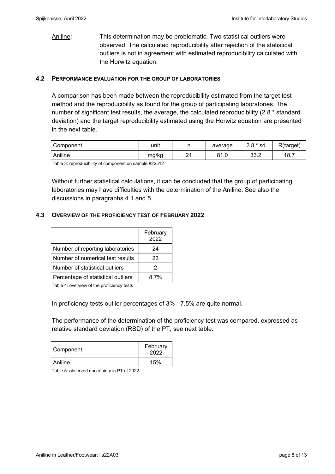Aniline: This determination may be problematic. Two statistical outliers were observed. The calculated reproducibility after rejection of the statistical outliers is not in agreement with estimated reproducibility calculated with the Horwitz equation.

#### **4.2 PERFORMANCE EVALUATION FOR THE GROUP OF LABORATORIES**

A comparison has been made between the reproducibility estimated from the target test method and the reproducibility as found for the group of participating laboratories. The number of significant test results, the average, the calculated reproducibility (2.8 \* standard deviation) and the target reproducibility estimated using the Horwitz equation are presented in the next table.

| Component | . .<br>unit |               | average     | $2.8 * sd$        | R(target) |
|-----------|-------------|---------------|-------------|-------------------|-----------|
| Aniline   | mg/kg       | ົ<br><u>_</u> | 04<br>o 1.u | <u>ഹ പ</u><br>ے.ں | 18.7      |

Table 3: reproducibility of component on sample #22512

Without further statistical calculations, it can be concluded that the group of participating laboratories may have difficulties with the determination of the Aniline. See also the discussions in paragraphs 4.1 and 5.

### **4.3 OVERVIEW OF THE PROFICIENCY TEST OF FEBRUARY 2022**

|                                    | February<br>2022 |
|------------------------------------|------------------|
| Number of reporting laboratories   | 24               |
| Number of numerical test results   | 23               |
| Number of statistical outliers     | 2                |
| Percentage of statistical outliers | 8.7%             |

Table 4: overview of the proficiency tests

In proficiency tests outlier percentages of 3% - 7.5% are quite normal.

The performance of the determination of the proficiency test was compared, expressed as relative standard deviation (RSD) of the PT, see next table.

| Component | February<br>2022 |  |
|-----------|------------------|--|
| Aniline   | 15%              |  |

Table 5: observed uncertainty in PT of 2022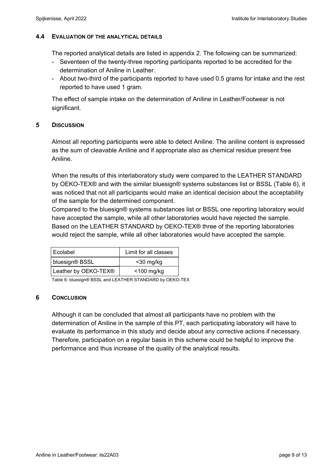### **4.4 EVALUATION OF THE ANALYTICAL DETAILS**

The reported analytical details are listed in appendix 2. The following can be summarized:

- Seventeen of the twenty-three reporting participants reported to be accredited for the determination of Aniline in Leather.
- About two-third of the participants reported to have used 0.5 grams for intake and the rest reported to have used 1 gram.

The effect of sample intake on the determination of Aniline in Leather/Footwear is not significant.

### **5 DISCUSSION**

Almost all reporting participants were able to detect Aniline. The aniline content is expressed as the sum of cleavable Aniline and if appropriate also as chemical residue present free Aniline.

When the results of this interlaboratory study were compared to the LEATHER STANDARD by OEKO-TEX® and with the similar bluesign® systems substances list or BSSL (Table 6), it was noticed that not all participants would make an identical decision about the acceptability of the sample for the determined component.

Compared to the bluesign® systems substances list or BSSL one reporting laboratory would have accepted the sample, while all other laboratories would have rejected the sample. Based on the LEATHER STANDARD by OEKO-TEX® three of the reporting laboratories would reject the sample, while all other laboratories would have accepted the sample.

| Ecolabel             | Limit for all classes |
|----------------------|-----------------------|
| bluesign® BSSL       | $<$ 30 mg/kg          |
| Leather by OEKO-TEX® | $<$ 100 mg/kg         |

Table 6: bluesign® BSSL and LEATHER STANDARD by OEKO-TEX

### **6 CONCLUSION**

Although it can be concluded that almost all participants have no problem with the determination of Aniline in the sample of this PT, each participating laboratory will have to evaluate its performance in this study and decide about any corrective actions if necessary. Therefore, participation on a regular basis in this scheme could be helpful to improve the performance and thus increase of the quality of the analytical results.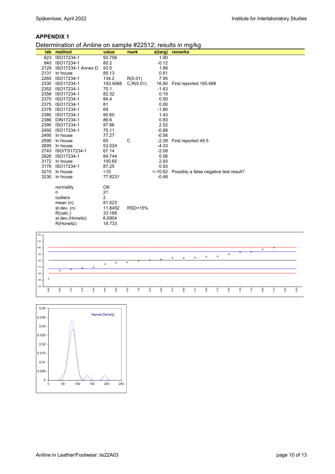#### **APPENDIX 1**

#### Determination of Aniline on sample #22512; results in mg/kg

| lab  | method                                                                                                 | value                                                                         | mark           | $z$ (targ) | ັ<br>ັ<br>remarks                      |
|------|--------------------------------------------------------------------------------------------------------|-------------------------------------------------------------------------------|----------------|------------|----------------------------------------|
| 623  | ISO17234-1                                                                                             | 93.756                                                                        |                | 1.90       |                                        |
| 840  | ISO17234-1                                                                                             | 80.2                                                                          |                | $-0.12$    |                                        |
| 2129 | ISO17234-1 Annex D                                                                                     | 93.5                                                                          |                | 1.86       |                                        |
| 2131 | In house                                                                                               | 85.13                                                                         |                | 0.61       |                                        |
| 2265 | ISO17234-1                                                                                             | 134.2                                                                         | R(0.01)        | 7.95       |                                        |
| 2330 | ISO17234-1                                                                                             | 193.4068                                                                      | C, R(0.01)     | 16.80      | First reported 165.488                 |
| 2352 | ISO17234-1                                                                                             | 70.1                                                                          |                | $-1.63$    |                                        |
| 2358 | ISO17234-1                                                                                             | 82.32                                                                         |                | 0.19       |                                        |
| 2370 | ISO17234-1                                                                                             | 84.4                                                                          |                | 0.50       |                                        |
| 2375 | ISO17234-1                                                                                             | 81                                                                            |                | 0.00       |                                        |
| 2378 | ISO17234-1                                                                                             | 69                                                                            |                | $-1.80$    |                                        |
| 2380 | ISO17234-1                                                                                             | 90.60                                                                         |                | 1.43       |                                        |
| 2386 | DIN17234-1                                                                                             | 86.6                                                                          |                | 0.83       |                                        |
| 2390 | ISO17234-1                                                                                             | 97.86                                                                         |                | 2.52       |                                        |
| 2492 | ISO17234-1                                                                                             | 75.11                                                                         |                | $-0.88$    |                                        |
| 2495 | In house                                                                                               | 77.27                                                                         |                | $-0.56$    |                                        |
| 2590 | In house                                                                                               | 65                                                                            | C              | $-2.39$    | First reported 49.5                    |
|      | 2695 In house                                                                                          | 52.024                                                                        |                | $-4.33$    |                                        |
|      | 2743 ISO/TS17234-1                                                                                     | 67.14                                                                         |                | $-2.08$    |                                        |
| 2826 | ISO17234-1                                                                                             | 84.744                                                                        |                | 0.56       |                                        |
| 3172 | In house                                                                                               | 100.65                                                                        |                | 2.93       |                                        |
| 3176 | ISO17234-1                                                                                             | 87.25                                                                         |                | 0.93       |                                        |
| 3210 | In house                                                                                               | ~10                                                                           |                | $<$ -10.62 | Possibly a false negative test result? |
| 3230 | In house                                                                                               | 77.8231                                                                       |                | $-0.48$    |                                        |
|      | normality<br>n<br>outliers<br>mean $(n)$<br>st. dev. (n)<br>R(calc.)<br>st.dev.(Horwitz)<br>R(Horwitz) | OK<br>21<br>$\overline{2}$<br>81.023<br>11.8452<br>33.166<br>6.6904<br>18.733 | <b>RSD=15%</b> |            |                                        |



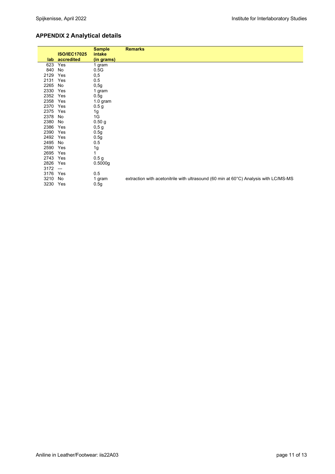# **APPENDIX 2 Analytical details**

|            |                                       | <b>Sample</b>        | <b>Remarks</b>                                                                       |
|------------|---------------------------------------|----------------------|--------------------------------------------------------------------------------------|
|            | <b>ISO/IEC17025</b><br>lab accredited | intake<br>(in grams) |                                                                                      |
| 623        | Yes                                   | 1 gram               |                                                                                      |
| 840        | No                                    | 0.5G                 |                                                                                      |
| 2129       | Yes                                   | 0,5                  |                                                                                      |
| 2131       | Yes                                   | 0.5                  |                                                                                      |
| 2265       | No                                    | 0,5g                 |                                                                                      |
| 2330 Yes   |                                       | 1 gram               |                                                                                      |
| 2352 Yes   |                                       | 0.5g                 |                                                                                      |
| 2358 Yes   |                                       |                      |                                                                                      |
| 2370 Yes   |                                       | $1.0$ gram           |                                                                                      |
|            |                                       | 0.5 <sub>g</sub>     |                                                                                      |
| 2375 Yes   |                                       | 1g                   |                                                                                      |
| 2378       | No                                    | 1G                   |                                                                                      |
| 2380       | No                                    | 0.50 <sub>g</sub>    |                                                                                      |
| 2386 Yes   |                                       | 0,5g                 |                                                                                      |
| 2390 Yes   |                                       | 0.5g                 |                                                                                      |
| 2492 Yes   |                                       | 0.5g                 |                                                                                      |
| 2495       | No                                    | 0.5                  |                                                                                      |
| 2590       | Yes                                   | 1g                   |                                                                                      |
| 2695 Yes   |                                       | 1                    |                                                                                      |
| 2743 Yes   |                                       | 0.5 <sub>g</sub>     |                                                                                      |
| 2826 Yes   |                                       | 0.5000g              |                                                                                      |
| $3172 - -$ |                                       |                      |                                                                                      |
| 3176 Yes   |                                       | 0.5                  |                                                                                      |
| 3210 No    |                                       | 1 gram               | extraction with acetonitrile with ultrasound (60 min at 60°C) Analysis with LC/MS-MS |
| 3230 Yes   |                                       | 0.5g                 |                                                                                      |
|            |                                       |                      |                                                                                      |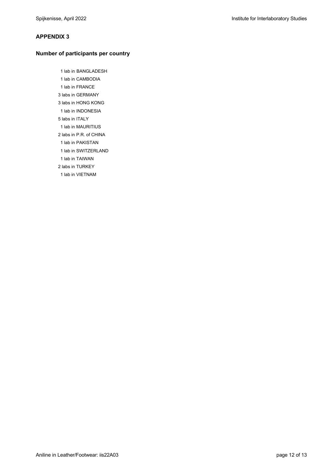#### **APPENDIX 3**

#### **Number of participants per country**

 1 lab in BANGLADESH 1 lab in CAMBODIA 1 lab in FRANCE 3 labs in GERMANY 3 labs in HONG KONG 1 lab in INDONESIA 5 labs in ITALY 1 lab in MAURITIUS 2 labs in P.R. of CHINA 1 lab in PAKISTAN 1 lab in SWITZERLAND 1 lab in TAIWAN 2 labs in TURKEY 1 lab in VIETNAM